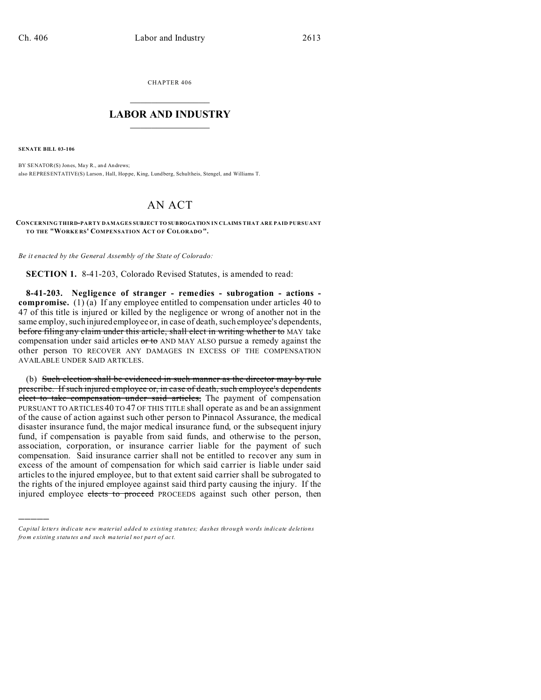CHAPTER 406  $\overline{\phantom{a}}$  , where  $\overline{\phantom{a}}$ 

## **LABOR AND INDUSTRY**  $\frac{1}{\sqrt{2}}$  ,  $\frac{1}{\sqrt{2}}$  ,  $\frac{1}{\sqrt{2}}$  ,  $\frac{1}{\sqrt{2}}$  ,  $\frac{1}{\sqrt{2}}$  ,  $\frac{1}{\sqrt{2}}$

**SENATE BILL 03-106**

)))))

BY SENATOR(S) Jones, May R., and Andrews; also REPRESENTATIVE(S) Larson , Hall, Hop pe, King, Lundberg, Schultheis, Stengel, and Williams T.

## AN ACT

**CONCERNING THIRD-PARTY DAMAGES SUBJECT TO SUBROGATION IN CLAIMS THAT ARE PAID PURSUANT TO THE "WORKE RS' COMPENSATION ACT OF COLORADO".**

*Be it enacted by the General Assembly of the State of Colorado:*

**SECTION 1.** 8-41-203, Colorado Revised Statutes, is amended to read:

**8-41-203. Negligence of stranger - remedies - subrogation - actions compromise.** (1) (a) If any employee entitled to compensation under articles 40 to 47 of this title is injured or killed by the negligence or wrong of another not in the same employ, such injured employee or, in case of death, such employee's dependents, before filing any claim under this article, shall elect in writing whether to MAY take compensation under said articles  $\sigma$  to AND MAY ALSO pursue a remedy against the other person TO RECOVER ANY DAMAGES IN EXCESS OF THE COMPENSATION AVAILABLE UNDER SAID ARTICLES.

(b) Such election shall be evidenced in such manner as the director may by rule prescribe. If such injured employee or, in case of death, such employee's dependents elect to take compensation under said articles, The payment of compensation PURSUANT TO ARTICLES 40 TO 47 OF THIS TITLE shall operate as and be an assignment of the cause of action against such other person to Pinnacol Assurance, the medical disaster insurance fund, the major medical insurance fund, or the subsequent injury fund, if compensation is payable from said funds, and otherwise to the person, association, corporation, or insurance carrier liable for the payment of such compensation. Said insurance carrier shall not be entitled to recover any sum in excess of the amount of compensation for which said carrier is liable under said articles to the injured employee, but to that extent said carrier shall be subrogated to the rights of the injured employee against said third party causing the injury. If the injured employee elects to proceed PROCEEDS against such other person, then

*Capital letters indicate new material added to existing statutes; dashes through words indicate deletions from e xistin g statu tes a nd such ma teria l no t pa rt of ac t.*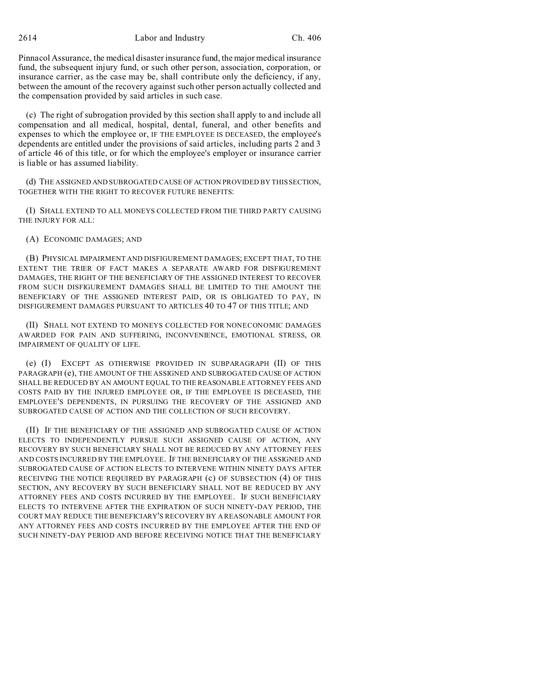2614 Labor and Industry Ch. 406

Pinnacol Assurance, the medical disaster insurance fund, the major medical insurance fund, the subsequent injury fund, or such other person, association, corporation, or insurance carrier, as the case may be, shall contribute only the deficiency, if any, between the amount of the recovery against such other person actually collected and the compensation provided by said articles in such case.

(c) The right of subrogation provided by this section shall apply to and include all compensation and all medical, hospital, dental, funeral, and other benefits and expenses to which the employee or, IF THE EMPLOYEE IS DECEASED, the employee's dependents are entitled under the provisions of said articles, including parts 2 and 3 of article 46 of this title, or for which the employee's employer or insurance carrier is liable or has assumed liability.

(d) THE ASSIGNED AND SUBROGATED CAUSE OF ACTION PROVIDED BY THIS SECTION, TOGETHER WITH THE RIGHT TO RECOVER FUTURE BENEFITS:

(I) SHALL EXTEND TO ALL MONEYS COLLECTED FROM THE THIRD PARTY CAUSING THE INJURY FOR ALL:

(A) ECONOMIC DAMAGES; AND

(B) PHYSICAL IMPAIRMENT AND DISFIGUREMENT DAMAGES; EXCEPT THAT, TO THE EXTENT THE TRIER OF FACT MAKES A SEPARATE AWARD FOR DISFIGUREMENT DAMAGES, THE RIGHT OF THE BENEFICIARY OF THE ASSIGNED INTEREST TO RECOVER FROM SUCH DISFIGUREMENT DAMAGES SHALL BE LIMITED TO THE AMOUNT THE BENEFICIARY OF THE ASSIGNED INTEREST PAID, OR IS OBLIGATED TO PAY, IN DISFIGUREMENT DAMAGES PURSUANT TO ARTICLES 40 TO 47 OF THIS TITLE; AND

(II) SHALL NOT EXTEND TO MONEYS COLLECTED FOR NONECONOMIC DAMAGES AWARDED FOR PAIN AND SUFFERING, INCONVENIENCE, EMOTIONAL STRESS, OR IMPAIRMENT OF QUALITY OF LIFE.

(e) (I) EXCEPT AS OTHERWISE PROVIDED IN SUBPARAGRAPH (II) OF THIS PARAGRAPH (e), THE AMOUNT OF THE ASSIGNED AND SUBROGATED CAUSE OF ACTION SHALL BE REDUCED BY AN AMOUNT EQUAL TO THE REASONABLE ATTORNEY FEES AND COSTS PAID BY THE INJURED EMPLOYEE OR, IF THE EMPLOYEE IS DECEASED, THE EMPLOYEE'S DEPENDENTS, IN PURSUING THE RECOVERY OF THE ASSIGNED AND SUBROGATED CAUSE OF ACTION AND THE COLLECTION OF SUCH RECOVERY.

(II) IF THE BENEFICIARY OF THE ASSIGNED AND SUBROGATED CAUSE OF ACTION ELECTS TO INDEPENDENTLY PURSUE SUCH ASSIGNED CAUSE OF ACTION, ANY RECOVERY BY SUCH BENEFICIARY SHALL NOT BE REDUCED BY ANY ATTORNEY FEES AND COSTS INCURRED BY THE EMPLOYEE. IF THE BENEFICIARY OF THE ASSIGNED AND SUBROGATED CAUSE OF ACTION ELECTS TO INTERVENE WITHIN NINETY DAYS AFTER RECEIVING THE NOTICE REQUIRED BY PARAGRAPH (c) OF SUBSECTION (4) OF THIS SECTION, ANY RECOVERY BY SUCH BENEFICIARY SHALL NOT BE REDUCED BY ANY ATTORNEY FEES AND COSTS INCURRED BY THE EMPLOYEE. IF SUCH BENEFICIARY ELECTS TO INTERVENE AFTER THE EXPIRATION OF SUCH NINETY-DAY PERIOD, THE COURT MAY REDUCE THE BENEFICIARY'S RECOVERY BY A REASONABLE AMOUNT FOR ANY ATTORNEY FEES AND COSTS INCURRED BY THE EMPLOYEE AFTER THE END OF SUCH NINETY-DAY PERIOD AND BEFORE RECEIVING NOTICE THAT THE BENEFICIARY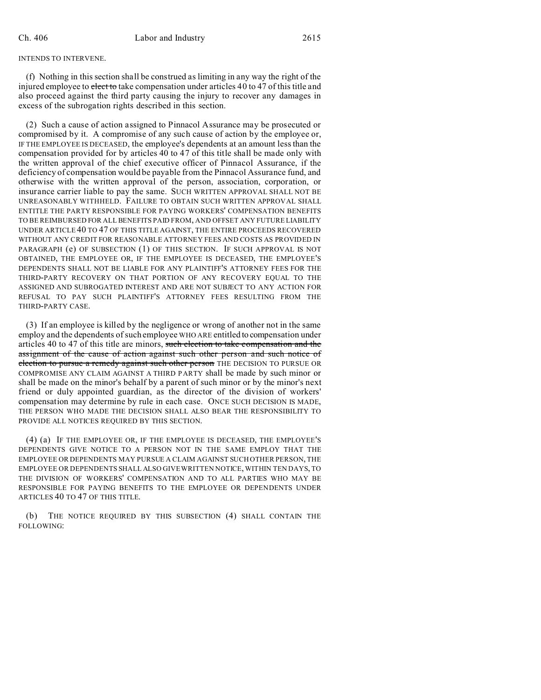## INTENDS TO INTERVENE.

(f) Nothing in this section shall be construed as limiting in any way the right of the injured employee to elect to take compensation under articles 40 to 47 of this title and also proceed against the third party causing the injury to recover any damages in excess of the subrogation rights described in this section.

(2) Such a cause of action assigned to Pinnacol Assurance may be prosecuted or compromised by it. A compromise of any such cause of action by the employee or, IF THE EMPLOYEE IS DECEASED, the employee's dependents at an amount less than the compensation provided for by articles 40 to 47 of this title shall be made only with the written approval of the chief executive officer of Pinnacol Assurance, if the deficiency of compensation would be payable from the Pinnacol Assurance fund, and otherwise with the written approval of the person, association, corporation, or insurance carrier liable to pay the same. SUCH WRITTEN APPROVAL SHALL NOT BE UNREASONABLY WITHHELD. FAILURE TO OBTAIN SUCH WRITTEN APPROVAL SHALL ENTITLE THE PARTY RESPONSIBLE FOR PAYING WORKERS' COMPENSATION BENEFITS TO BE REIMBURSED FOR ALL BENEFITS PAID FROM, AND OFFSET ANY FUTURE LIABILITY UNDER ARTICLE 40 TO 47 OF THIS TITLE AGAINST, THE ENTIRE PROCEEDS RECOVERED WITHOUT ANY CREDIT FOR REASONABLE ATTORNEY FEES AND COSTS AS PROVIDED IN PARAGRAPH (e) OF SUBSECTION (1) OF THIS SECTION. IF SUCH APPROVAL IS NOT OBTAINED, THE EMPLOYEE OR, IF THE EMPLOYEE IS DECEASED, THE EMPLOYEE'S DEPENDENTS SHALL NOT BE LIABLE FOR ANY PLAINTIFF'S ATTORNEY FEES FOR THE THIRD-PARTY RECOVERY ON THAT PORTION OF ANY RECOVERY EQUAL TO THE ASSIGNED AND SUBROGATED INTEREST AND ARE NOT SUBJECT TO ANY ACTION FOR REFUSAL TO PAY SUCH PLAINTIFF'S ATTORNEY FEES RESULTING FROM THE THIRD-PARTY CASE.

(3) If an employee is killed by the negligence or wrong of another not in the same employ and the dependents of such employee WHO ARE entitled to compensation under articles 40 to 47 of this title are minors, such election to take compensation and the assignment of the cause of action against such other person and such notice of election to pursue a remedy against such other person THE DECISION TO PURSUE OR COMPROMISE ANY CLAIM AGAINST A THIRD PARTY shall be made by such minor or shall be made on the minor's behalf by a parent of such minor or by the minor's next friend or duly appointed guardian, as the director of the division of workers' compensation may determine by rule in each case. ONCE SUCH DECISION IS MADE, THE PERSON WHO MADE THE DECISION SHALL ALSO BEAR THE RESPONSIBILITY TO PROVIDE ALL NOTICES REQUIRED BY THIS SECTION.

(4) (a) IF THE EMPLOYEE OR, IF THE EMPLOYEE IS DECEASED, THE EMPLOYEE'S DEPENDENTS GIVE NOTICE TO A PERSON NOT IN THE SAME EMPLOY THAT THE EMPLOYEE OR DEPENDENTS MAY PURSUE A CLAIM AGAINST SUCH OTHER PERSON, THE EMPLOYEE OR DEPENDENTS SHALL ALSO GIVE WRITTEN NOTICE, WITHIN TEN DAYS, TO THE DIVISION OF WORKERS' COMPENSATION AND TO ALL PARTIES WHO MAY BE RESPONSIBLE FOR PAYING BENEFITS TO THE EMPLOYEE OR DEPENDENTS UNDER ARTICLES 40 TO 47 OF THIS TITLE.

(b) THE NOTICE REQUIRED BY THIS SUBSECTION (4) SHALL CONTAIN THE FOLLOWING: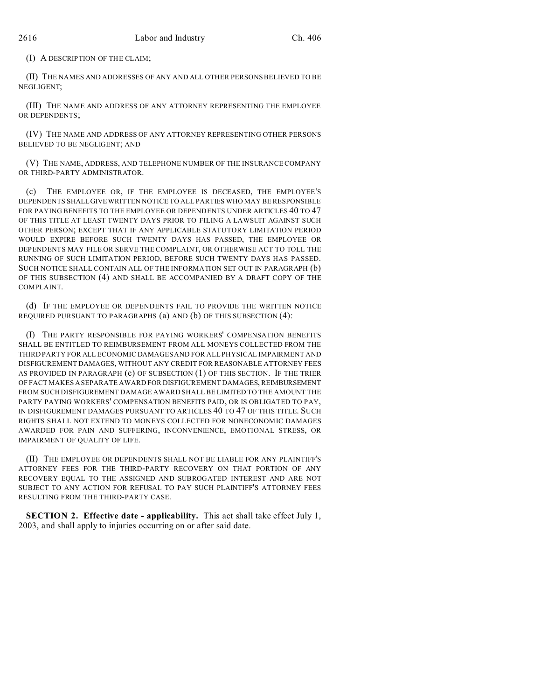(I) A DESCRIPTION OF THE CLAIM;

(II) THE NAMES AND ADDRESSES OF ANY AND ALL OTHER PERSONS BELIEVED TO BE NEGLIGENT;

(III) THE NAME AND ADDRESS OF ANY ATTORNEY REPRESENTING THE EMPLOYEE OR DEPENDENTS;

(IV) THE NAME AND ADDRESS OF ANY ATTORNEY REPRESENTING OTHER PERSONS BELIEVED TO BE NEGLIGENT; AND

(V) THE NAME, ADDRESS, AND TELEPHONE NUMBER OF THE INSURANCE COMPANY OR THIRD-PARTY ADMINISTRATOR.

(c) THE EMPLOYEE OR, IF THE EMPLOYEE IS DECEASED, THE EMPLOYEE'S DEPENDENTS SHALLGIVEWRITTEN NOTICE TO ALL PARTIES WHO MAY BE RESPONSIBLE FOR PAYING BENEFITS TO THE EMPLOYEE OR DEPENDENTS UNDER ARTICLES 40 TO 47 OF THIS TITLE AT LEAST TWENTY DAYS PRIOR TO FILING A LAWSUIT AGAINST SUCH OTHER PERSON; EXCEPT THAT IF ANY APPLICABLE STATUTORY LIMITATION PERIOD WOULD EXPIRE BEFORE SUCH TWENTY DAYS HAS PASSED, THE EMPLOYEE OR DEPENDENTS MAY FILE OR SERVE THE COMPLAINT, OR OTHERWISE ACT TO TOLL THE RUNNING OF SUCH LIMITATION PERIOD, BEFORE SUCH TWENTY DAYS HAS PASSED. SUCH NOTICE SHALL CONTAIN ALL OF THE INFORMATION SET OUT IN PARAGRAPH (b) OF THIS SUBSECTION (4) AND SHALL BE ACCOMPANIED BY A DRAFT COPY OF THE COMPLAINT.

(d) IF THE EMPLOYEE OR DEPENDENTS FAIL TO PROVIDE THE WRITTEN NOTICE REQUIRED PURSUANT TO PARAGRAPHS (a) AND (b) OF THIS SUBSECTION (4):

(I) THE PARTY RESPONSIBLE FOR PAYING WORKERS' COMPENSATION BENEFITS SHALL BE ENTITLED TO REIMBURSEMENT FROM ALL MONEYS COLLECTED FROM THE THIRD PARTY FOR ALL ECONOMIC DAMAGES AND FOR ALL PHYSICAL IMPAIRMENT AND DISFIGUREMENT DAMAGES, WITHOUT ANY CREDIT FOR REASONABLE ATTORNEY FEES AS PROVIDED IN PARAGRAPH (e) OF SUBSECTION (1) OF THIS SECTION. IF THE TRIER OF FACT MAKES A SEPARATE AWARD FOR DISFIGUREMENT DAMAGES, REIMBURSEMENT FROM SUCH DISFIGUREMENT DAMAGE AWARD SHALL BE LIMITED TO THE AMOUNT THE PARTY PAYING WORKERS' COMPENSATION BENEFITS PAID, OR IS OBLIGATED TO PAY, IN DISFIGUREMENT DAMAGES PURSUANT TO ARTICLES 40 TO 47 OF THIS TITLE. SUCH RIGHTS SHALL NOT EXTEND TO MONEYS COLLECTED FOR NONECONOMIC DAMAGES AWARDED FOR PAIN AND SUFFERING, INCONVENIENCE, EMOTIONAL STRESS, OR IMPAIRMENT OF QUALITY OF LIFE.

(II) THE EMPLOYEE OR DEPENDENTS SHALL NOT BE LIABLE FOR ANY PLAINTIFF'S ATTORNEY FEES FOR THE THIRD-PARTY RECOVERY ON THAT PORTION OF ANY RECOVERY EQUAL TO THE ASSIGNED AND SUBROGATED INTEREST AND ARE NOT SUBJECT TO ANY ACTION FOR REFUSAL TO PAY SUCH PLAINTIFF'S ATTORNEY FEES RESULTING FROM THE THIRD-PARTY CASE.

**SECTION 2. Effective date - applicability.** This act shall take effect July 1, 2003, and shall apply to injuries occurring on or after said date.